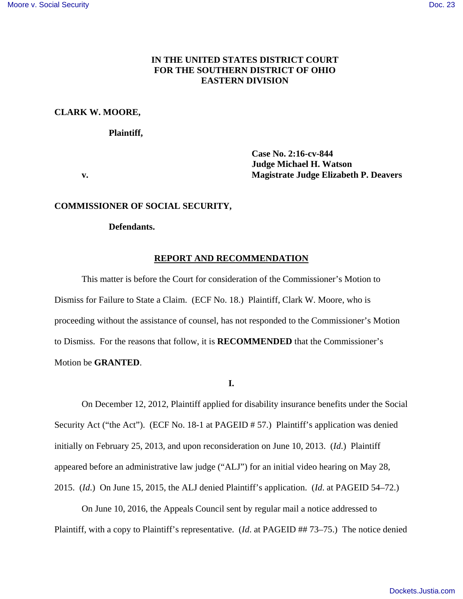# **IN THE UNITED STATES DISTRICT COURT FOR THE SOUTHERN DISTRICT OF OHIO EASTERN DIVISION**

# **CLARK W. MOORE,**

### **Plaintiff,**

**Case No. 2:16-cv-844 Judge Michael H. Watson v. Magistrate Judge Elizabeth P. Deavers** 

### **COMMISSIONER OF SOCIAL SECURITY,**

## **Defendants.**

## **REPORT AND RECOMMENDATION**

This matter is before the Court for consideration of the Commissioner's Motion to Dismiss for Failure to State a Claim. (ECF No. 18.) Plaintiff, Clark W. Moore, who is proceeding without the assistance of counsel, has not responded to the Commissioner's Motion to Dismiss. For the reasons that follow, it is **RECOMMENDED** that the Commissioner's Motion be **GRANTED**.

# **I.**

On December 12, 2012, Plaintiff applied for disability insurance benefits under the Social Security Act ("the Act"). (ECF No. 18-1 at PAGEID # 57.) Plaintiff's application was denied initially on February 25, 2013, and upon reconsideration on June 10, 2013. (*Id*.) Plaintiff appeared before an administrative law judge ("ALJ") for an initial video hearing on May 28, 2015. (*Id*.) On June 15, 2015, the ALJ denied Plaintiff's application. (*Id*. at PAGEID 54–72.)

On June 10, 2016, the Appeals Council sent by regular mail a notice addressed to Plaintiff, with a copy to Plaintiff's representative. (*Id.* at PAGEID ## 73–75.) The notice denied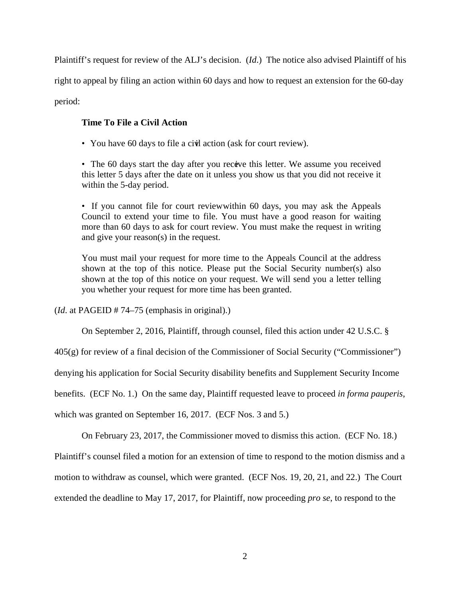Plaintiff's request for review of the ALJ's decision. (*Id*.) The notice also advised Plaintiff of his

right to appeal by filing an action within 60 days and how to request an extension for the 60-day

period:

# **Time To File a Civil Action**

• You have 60 days to file a civil action (ask for court review).

• The 60 days start the day after you receive this letter. We assume you received this letter 5 days after the date on it unless you show us that you did not receive it within the 5-day period.

• If you cannot file for court review within 60 days, you may ask the Appeals Council to extend your time to file. You must have a good reason for waiting more than 60 days to ask for court review. You must make the request in writing and give your reason(s) in the request.

You must mail your request for more time to the Appeals Council at the address shown at the top of this notice. Please put the Social Security number(s) also shown at the top of this notice on your request. We will send you a letter telling you whether your request for more time has been granted.

(*Id*. at PAGEID # 74–75 (emphasis in original).)

On September 2, 2016, Plaintiff, through counsel, filed this action under 42 U.S.C. §

405(g) for review of a final decision of the Commissioner of Social Security ("Commissioner")

denying his application for Social Security disability benefits and Supplement Security Income

benefits. (ECF No. 1.) On the same day, Plaintiff requested leave to proceed *in forma pauperis*,

which was granted on September 16, 2017. (ECF Nos. 3 and 5.)

On February 23, 2017, the Commissioner moved to dismiss this action. (ECF No. 18.)

Plaintiff's counsel filed a motion for an extension of time to respond to the motion dismiss and a

motion to withdraw as counsel, which were granted. (ECF Nos. 19, 20, 21, and 22.) The Court

extended the deadline to May 17, 2017, for Plaintiff, now proceeding *pro se*, to respond to the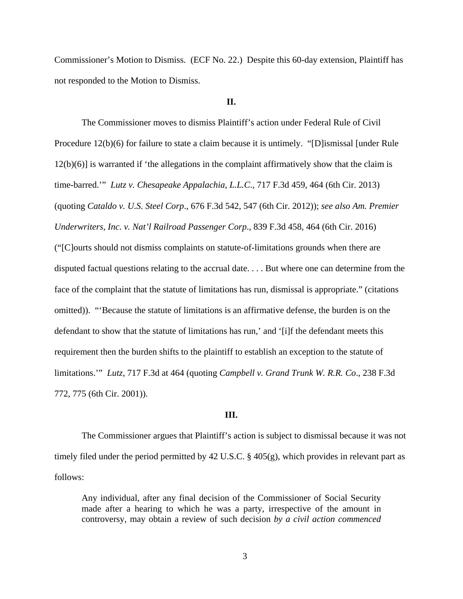Commissioner's Motion to Dismiss. (ECF No. 22.) Despite this 60-day extension, Plaintiff has not responded to the Motion to Dismiss.

# **II.**

The Commissioner moves to dismiss Plaintiff's action under Federal Rule of Civil Procedure 12(b)(6) for failure to state a claim because it is untimely. "[D]ismissal [under Rule 12(b)(6)] is warranted if 'the allegations in the complaint affirmatively show that the claim is time-barred.'" *Lutz v. Chesapeake Appalachia, L.L.C*., 717 F.3d 459, 464 (6th Cir. 2013) (quoting *Cataldo v. U.S. Steel Corp*., 676 F.3d 542, 547 (6th Cir. 2012)); *see also Am. Premier Underwriters, Inc. v. Nat'l Railroad Passenger Corp*., 839 F.3d 458, 464 (6th Cir. 2016) ("[C]ourts should not dismiss complaints on statute-of-limitations grounds when there are disputed factual questions relating to the accrual date. . . . But where one can determine from the face of the complaint that the statute of limitations has run, dismissal is appropriate." (citations omitted)). "'Because the statute of limitations is an affirmative defense, the burden is on the defendant to show that the statute of limitations has run,' and '[i]f the defendant meets this requirement then the burden shifts to the plaintiff to establish an exception to the statute of limitations.'" *Lutz*, 717 F.3d at 464 (quoting *Campbell v. Grand Trunk W. R.R. Co*., 238 F.3d 772, 775 (6th Cir. 2001)).

#### **III.**

The Commissioner argues that Plaintiff's action is subject to dismissal because it was not timely filed under the period permitted by 42 U.S.C. § 405(g), which provides in relevant part as follows:

Any individual, after any final decision of the Commissioner of Social Security made after a hearing to which he was a party, irrespective of the amount in controversy, may obtain a review of such decision *by a civil action commenced*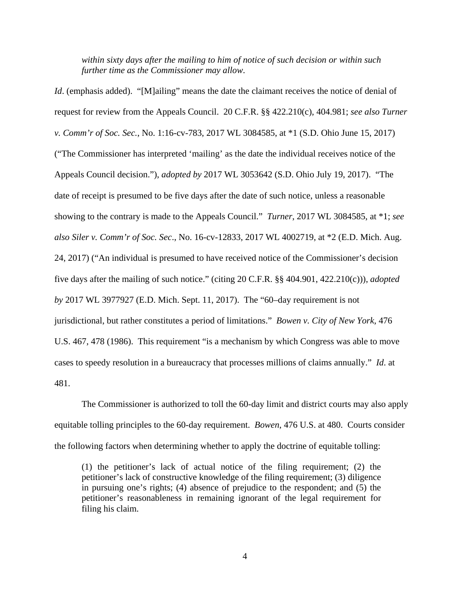*within sixty days after the mailing to him of notice of such decision or within such further time as the Commissioner may allow*.

*Id.* (emphasis added). "[M]ailing" means the date the claimant receives the notice of denial of request for review from the Appeals Council. 20 C.F.R. §§ 422.210(c), 404.981; *see also Turner v. Comm'r of Soc. Sec.*, No. 1:16-cv-783, 2017 WL 3084585, at \*1 (S.D. Ohio June 15, 2017) ("The Commissioner has interpreted 'mailing' as the date the individual receives notice of the Appeals Council decision."), *adopted by* 2017 WL 3053642 (S.D. Ohio July 19, 2017). "The date of receipt is presumed to be five days after the date of such notice, unless a reasonable showing to the contrary is made to the Appeals Council." *Turner*, 2017 WL 3084585, at \*1; *see also Siler v. Comm'r of Soc. Sec*., No. 16-cv-12833, 2017 WL 4002719, at \*2 (E.D. Mich. Aug. 24, 2017) ("An individual is presumed to have received notice of the Commissioner's decision five days after the mailing of such notice." (citing 20 C.F.R. §§ 404.901, 422.210(c))), *adopted by* 2017 WL 3977927 (E.D. Mich. Sept. 11, 2017). The "60–day requirement is not jurisdictional, but rather constitutes a period of limitations." *Bowen v. City of New York*, 476 U.S. 467, 478 (1986). This requirement "is a mechanism by which Congress was able to move cases to speedy resolution in a bureaucracy that processes millions of claims annually." *Id*. at 481.

 The Commissioner is authorized to toll the 60-day limit and district courts may also apply equitable tolling principles to the 60-day requirement. *Bowen*, 476 U.S. at 480. Courts consider the following factors when determining whether to apply the doctrine of equitable tolling:

(1) the petitioner's lack of actual notice of the filing requirement; (2) the petitioner's lack of constructive knowledge of the filing requirement; (3) diligence in pursuing one's rights; (4) absence of prejudice to the respondent; and (5) the petitioner's reasonableness in remaining ignorant of the legal requirement for filing his claim.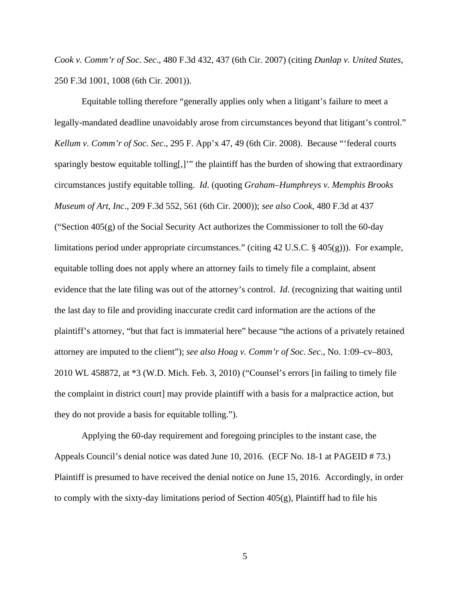*Cook v. Comm'r of Soc. Sec*., 480 F.3d 432, 437 (6th Cir. 2007) (citing *Dunlap v. United States*, 250 F.3d 1001, 1008 (6th Cir. 2001)).

Equitable tolling therefore "generally applies only when a litigant's failure to meet a legally-mandated deadline unavoidably arose from circumstances beyond that litigant's control." *Kellum v. Comm'r of Soc. Sec*., 295 F. App'x 47, 49 (6th Cir. 2008). Because "'federal courts sparingly bestow equitable tolling[,]'" the plaintiff has the burden of showing that extraordinary circumstances justify equitable tolling. *Id*. (quoting *Graham–Humphreys v. Memphis Brooks Museum of Art, Inc*., 209 F.3d 552, 561 (6th Cir. 2000)); *see also Cook*, 480 F.3d at 437 ("Section  $405(g)$  of the Social Security Act authorizes the Commissioner to toll the 60-day limitations period under appropriate circumstances." (citing 42 U.S.C. § 405(g))). For example, equitable tolling does not apply where an attorney fails to timely file a complaint, absent evidence that the late filing was out of the attorney's control. *Id*. (recognizing that waiting until the last day to file and providing inaccurate credit card information are the actions of the plaintiff's attorney, "but that fact is immaterial here" because "the actions of a privately retained attorney are imputed to the client"); *see also Hoag v. Comm'r of Soc. Sec*., No. 1:09–cv–803, 2010 WL 458872, at \*3 (W.D. Mich. Feb. 3, 2010) ("Counsel's errors [in failing to timely file the complaint in district court] may provide plaintiff with a basis for a malpractice action, but they do not provide a basis for equitable tolling.").

Applying the 60-day requirement and foregoing principles to the instant case, the Appeals Council's denial notice was dated June 10, 2016. (ECF No. 18-1 at PAGEID # 73.) Plaintiff is presumed to have received the denial notice on June 15, 2016. Accordingly, in order to comply with the sixty-day limitations period of Section  $405(g)$ , Plaintiff had to file his

5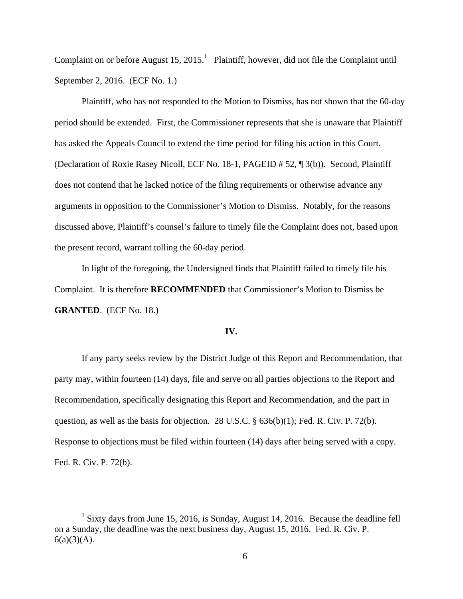Complaint on or before August  $15, 2015$ .<sup>1</sup> Plaintiff, however, did not file the Complaint until September 2, 2016. (ECF No. 1.)

Plaintiff, who has not responded to the Motion to Dismiss, has not shown that the 60-day period should be extended. First, the Commissioner represents that she is unaware that Plaintiff has asked the Appeals Council to extend the time period for filing his action in this Court. (Declaration of Roxie Rasey Nicoll, ECF No. 18-1, PAGEID # 52, ¶ 3(b)). Second, Plaintiff does not contend that he lacked notice of the filing requirements or otherwise advance any arguments in opposition to the Commissioner's Motion to Dismiss. Notably, for the reasons discussed above, Plaintiff's counsel's failure to timely file the Complaint does not, based upon the present record, warrant tolling the 60-day period.

In light of the foregoing, the Undersigned finds that Plaintiff failed to timely file his Complaint. It is therefore **RECOMMENDED** that Commissioner's Motion to Dismiss be **GRANTED**. (ECF No. 18.)

## **IV.**

If any party seeks review by the District Judge of this Report and Recommendation, that party may, within fourteen (14) days, file and serve on all parties objections to the Report and Recommendation, specifically designating this Report and Recommendation, and the part in question, as well as the basis for objection. 28 U.S.C. § 636(b)(1); Fed. R. Civ. P. 72(b). Response to objections must be filed within fourteen (14) days after being served with a copy. Fed. R. Civ. P. 72(b).

 1 Sixty days from June 15, 2016, is Sunday, August 14, 2016. Because the deadline fell on a Sunday, the deadline was the next business day, August 15, 2016. Fed. R. Civ. P.  $6(a)(3)(A)$ .